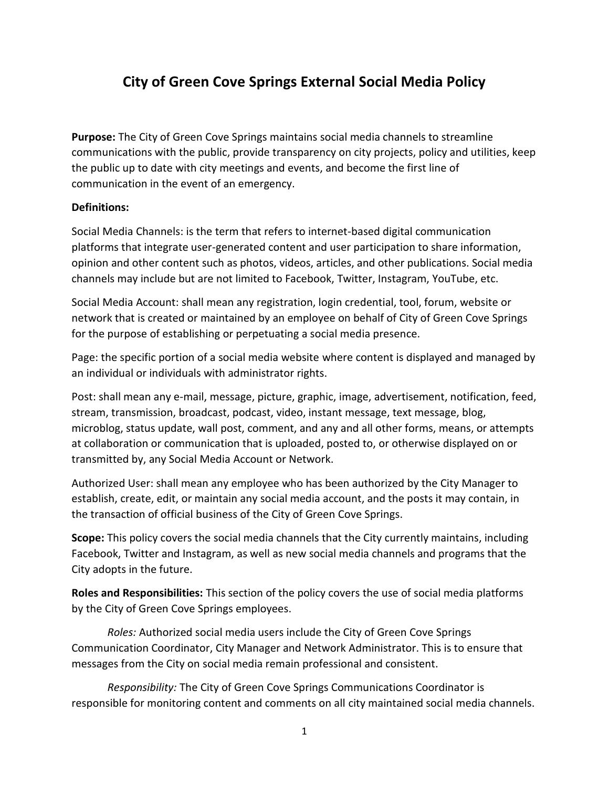# **City of Green Cove Springs External Social Media Policy**

**Purpose:** The City of Green Cove Springs maintains social media channels to streamline communications with the public, provide transparency on city projects, policy and utilities, keep the public up to date with city meetings and events, and become the first line of communication in the event of an emergency.

# **Definitions:**

Social Media Channels: is the term that refers to internet-based digital communication platforms that integrate user-generated content and user participation to share information, opinion and other content such as photos, videos, articles, and other publications. Social media channels may include but are not limited to Facebook, Twitter, Instagram, YouTube, etc.

Social Media Account: shall mean any registration, login credential, tool, forum, website or network that is created or maintained by an employee on behalf of City of Green Cove Springs for the purpose of establishing or perpetuating a social media presence.

Page: the specific portion of a social media website where content is displayed and managed by an individual or individuals with administrator rights.

Post: shall mean any e-mail, message, picture, graphic, image, advertisement, notification, feed, stream, transmission, broadcast, podcast, video, instant message, text message, blog, microblog, status update, wall post, comment, and any and all other forms, means, or attempts at collaboration or communication that is uploaded, posted to, or otherwise displayed on or transmitted by, any Social Media Account or Network.

Authorized User: shall mean any employee who has been authorized by the City Manager to establish, create, edit, or maintain any social media account, and the posts it may contain, in the transaction of official business of the City of Green Cove Springs.

**Scope:** This policy covers the social media channels that the City currently maintains, including Facebook, Twitter and Instagram, as well as new social media channels and programs that the City adopts in the future.

**Roles and Responsibilities:** This section of the policy covers the use of social media platforms by the City of Green Cove Springs employees.

*Roles:* Authorized social media users include the City of Green Cove Springs Communication Coordinator, City Manager and Network Administrator. This is to ensure that messages from the City on social media remain professional and consistent.

*Responsibility:* The City of Green Cove Springs Communications Coordinator is responsible for monitoring content and comments on all city maintained social media channels.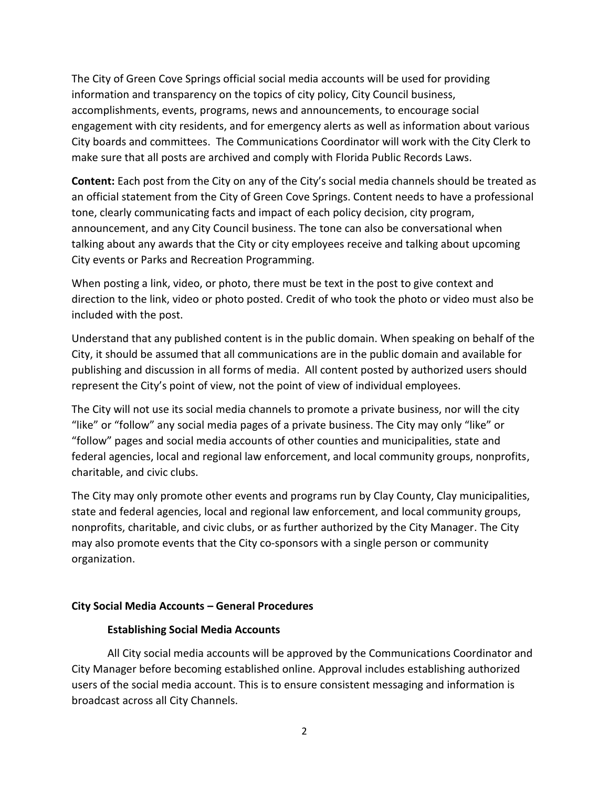The City of Green Cove Springs official social media accounts will be used for providing information and transparency on the topics of city policy, City Council business, accomplishments, events, programs, news and announcements, to encourage social engagement with city residents, and for emergency alerts as well as information about various City boards and committees. The Communications Coordinator will work with the City Clerk to make sure that all posts are archived and comply with Florida Public Records Laws.

**Content:** Each post from the City on any of the City's social media channels should be treated as an official statement from the City of Green Cove Springs. Content needs to have a professional tone, clearly communicating facts and impact of each policy decision, city program, announcement, and any City Council business. The tone can also be conversational when talking about any awards that the City or city employees receive and talking about upcoming City events or Parks and Recreation Programming.

When posting a link, video, or photo, there must be text in the post to give context and direction to the link, video or photo posted. Credit of who took the photo or video must also be included with the post.

Understand that any published content is in the public domain. When speaking on behalf of the City, it should be assumed that all communications are in the public domain and available for publishing and discussion in all forms of media. All content posted by authorized users should represent the City's point of view, not the point of view of individual employees.

The City will not use its social media channels to promote a private business, nor will the city "like" or "follow" any social media pages of a private business. The City may only "like" or "follow" pages and social media accounts of other counties and municipalities, state and federal agencies, local and regional law enforcement, and local community groups, nonprofits, charitable, and civic clubs.

The City may only promote other events and programs run by Clay County, Clay municipalities, state and federal agencies, local and regional law enforcement, and local community groups, nonprofits, charitable, and civic clubs, or as further authorized by the City Manager. The City may also promote events that the City co-sponsors with a single person or community organization.

# **City Social Media Accounts – General Procedures**

### **Establishing Social Media Accounts**

All City social media accounts will be approved by the Communications Coordinator and City Manager before becoming established online. Approval includes establishing authorized users of the social media account. This is to ensure consistent messaging and information is broadcast across all City Channels.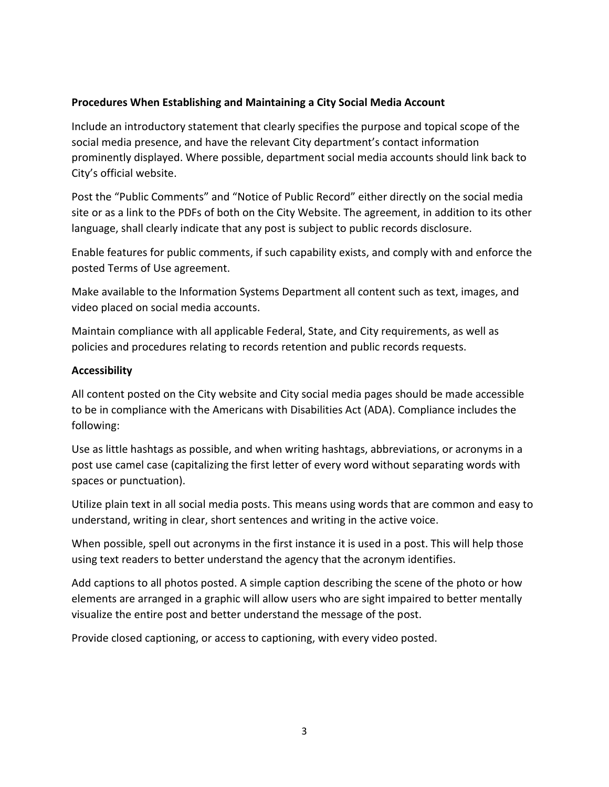# **Procedures When Establishing and Maintaining a City Social Media Account**

Include an introductory statement that clearly specifies the purpose and topical scope of the social media presence, and have the relevant City department's contact information prominently displayed. Where possible, department social media accounts should link back to City's official website.

Post the "Public Comments" and "Notice of Public Record" either directly on the social media site or as a link to the PDFs of both on the City Website. The agreement, in addition to its other language, shall clearly indicate that any post is subject to public records disclosure.

Enable features for public comments, if such capability exists, and comply with and enforce the posted Terms of Use agreement.

Make available to the Information Systems Department all content such as text, images, and video placed on social media accounts.

Maintain compliance with all applicable Federal, State, and City requirements, as well as policies and procedures relating to records retention and public records requests.

# **Accessibility**

All content posted on the City website and City social media pages should be made accessible to be in compliance with the Americans with Disabilities Act (ADA). Compliance includes the following:

Use as little hashtags as possible, and when writing hashtags, abbreviations, or acronyms in a post use camel case (capitalizing the first letter of every word without separating words with spaces or punctuation).

Utilize plain text in all social media posts. This means using words that are common and easy to understand, writing in clear, short sentences and writing in the active voice.

When possible, spell out acronyms in the first instance it is used in a post. This will help those using text readers to better understand the agency that the acronym identifies.

Add captions to all photos posted. A simple caption describing the scene of the photo or how elements are arranged in a graphic will allow users who are sight impaired to better mentally visualize the entire post and better understand the message of the post.

Provide closed captioning, or access to captioning, with every video posted.